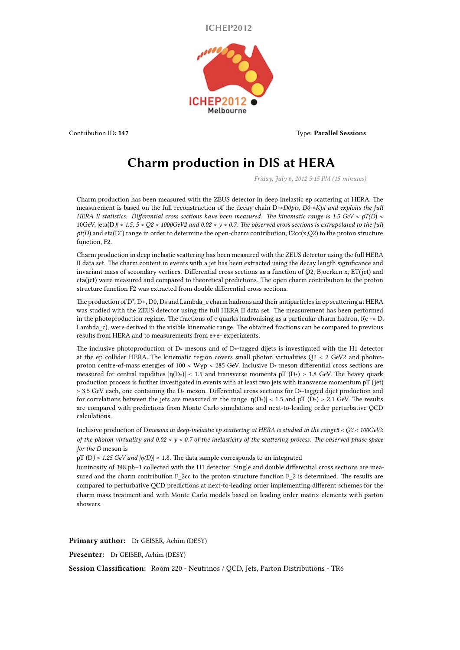**ICHEP2012**



Contribution ID: **147** Type: **Parallel Sessions**

## **Charm production in DIS at HERA**

*Friday, July 6, 2012 5:15 PM (15 minutes)*

Charm production has been measured with the ZEUS detector in deep inelastic ep scattering at HERA. The measurement is based on the full reconstruction of the decay chain D*->D0pis, D0->Kpi and exploits the full HERA II statistics. Differential cross sections have been measured. The kinematic range is 1.5 GeV < pT(D*) < 10GeV, |eta(D*)| < 1.5, 5 < Q2 < 1000GeV2 and 0.02 < y < 0.7. The observed cross sections is extrapolated to the full*  $pt(D)$  and eta(D<sup>\*</sup>) range in order to determine the open-charm contribution, F2cc(x,Q2) to the proton structure function, F2.

Charm production in deep inelastic scattering has been measured with the ZEUS detector using the full HERA II data set. The charm content in events with a jet has been extracted using the decay length significance and invariant mass of secondary vertices. Differential cross sections as a function of Q2, Bjoerken x, ET(jet) and eta(jet) were measured and compared to theoretical predictions. The open charm contribution to the proton structure function F2 was extracted from double differential cross sections.

The production of  $D^*$ ,  $D^*$ ,  $D^0$ ,  $D^s$  and Lambda c charm hadrons and their antiparticles in ep scattering at HERA was studied with the ZEUS detector using the full HERA II data set. The measurement has been performed in the photoproduction regime. The fractions of c quarks hadronising as a particular charm hadron,  $f(c \rightarrow D)$ , Lambda\_c), were derived in the visible kinematic range. The obtained fractions can be compared to previous results from HERA and to measurements from e+e- experiments.

The inclusive photoproduction of D∗ mesons and of D∗-tagged dijets is investigated with the H1 detector at the ep collider HERA. The kinematic region covers small photon virtualities Q2 < 2 GeV2 and photonproton centre-of-mass energies of 100 < Wγp < 285 GeV. Inclusive D∗ meson differential cross sections are measured for central rapidities  $|\eta(D*)|$  < 1.5 and transverse momenta pT (D∗) > 1.8 GeV. The heavy quark production process is further investigated in events with at least two jets with transverse momentum pT (jet) > 3.5 GeV each, one containing the D∗ meson. Differential cross sections for D∗-tagged dijet production and for correlations between the jets are measured in the range  $|\eta(D*)| < 1.5$  and pT (D∗) > 2.1 GeV. The results are compared with predictions from Monte Carlo simulations and next-to-leading order perturbative QCD calculations.

Inclusive production of D*mesons in deep-inelastic ep scattering at HERA is studied in the range5 < Q2 < 100GeV2 of the photon virtuality and 0.02 < y < 0.7 of the inelasticity of the scattering process. The observed phase space for the D* meson is

pT (D*) > 1.25 GeV and |η(D*)| < 1.8. The data sample corresponds to an integrated

luminosity of 348 pb−1 collected with the H1 detector. Single and double differential cross sections are measured and the charm contribution F\_2cc to the proton structure function F\_2 is determined. The results are compared to perturbative QCD predictions at next-to-leading order implementing different schemes for the charm mass treatment and with Monte Carlo models based on leading order matrix elements with parton showers.

**Primary author:** Dr GEISER, Achim (DESY)

**Presenter:** Dr GEISER, Achim (DESY)

**Session Classification:** Room 220 - Neutrinos / QCD, Jets, Parton Distributions - TR6